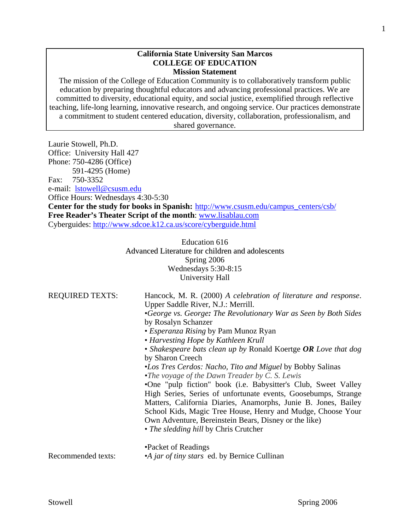#### **California State University San Marcos COLLEGE OF EDUCATION Mission Statement**

The mission of the College of Education Community is to collaboratively transform public education by preparing thoughtful educators and advancing professional practices. We are committed to diversity, educational equity, and social justice, exemplified through reflective teaching, life-long learning, innovative research, and ongoing service. Our practices demonstrate a commitment to student centered education, diversity, collaboration, professionalism, and shared governance.

Laurie Stowell, Ph.D. Office: University Hall 427 Phone: 750-4286 (Office) 591-4295 (Home) Fax: 750-3352 e-mail: lstowell@csusm.edu Office Hours: Wednesdays 4:30-5:30 **Center for the study for books in Spanish:** http://www.csusm.edu/campus\_centers/csb/ **Free Reader's Theater Script of the month**: www.lisablau.com Cyberguides: http://www.sdcoe.k12.ca.us/score/cyberguide.html

> Education 616 Advanced Literature for children and adolescents Spring 2006 Wednesdays 5:30-8:15 University Hall

| <b>REQUIRED TEXTS:</b> | Hancock, M. R. (2000) A celebration of literature and response.<br>Upper Saddle River, N.J.: Merrill.<br>•George vs. George: The Revolutionary War as Seen by Both Sides<br>by Rosalyn Schanzer<br>• <i>Esperanza Rising</i> by Pam Munoz Ryan<br>• Harvesting Hope by Kathleen Krull<br>• Shakespeare bats clean up by Ronald Koertge $OR$ Love that dog<br>by Sharon Creech<br>•Los Tres Cerdos: Nacho, Tito and Miguel by Bobby Salinas<br>• The voyage of the Dawn Treader by $C$ . S. Lewis<br>•One "pulp fiction" book (i.e. Babysitter's Club, Sweet Valley<br>High Series, Series of unfortunate events, Goosebumps, Strange<br>Matters, California Diaries, Anamorphs, Junie B. Jones, Bailey<br>School Kids, Magic Tree House, Henry and Mudge, Choose Your<br>Own Adventure, Bereinstein Bears, Disney or the like)<br>• The sledding hill by Chris Crutcher |
|------------------------|-------------------------------------------------------------------------------------------------------------------------------------------------------------------------------------------------------------------------------------------------------------------------------------------------------------------------------------------------------------------------------------------------------------------------------------------------------------------------------------------------------------------------------------------------------------------------------------------------------------------------------------------------------------------------------------------------------------------------------------------------------------------------------------------------------------------------------------------------------------------------|
| Recommended texts:     | •Packet of Readings<br>•A jar of tiny stars ed. by Bernice Cullinan                                                                                                                                                                                                                                                                                                                                                                                                                                                                                                                                                                                                                                                                                                                                                                                                     |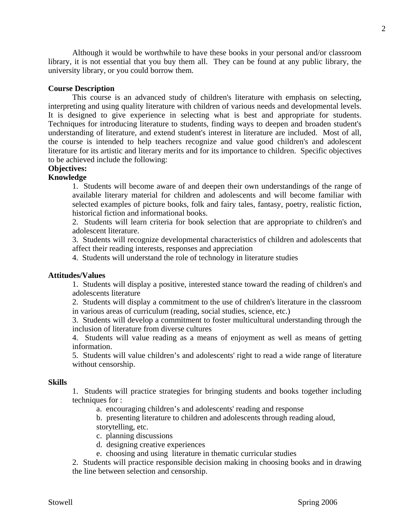Although it would be worthwhile to have these books in your personal and/or classroom library, it is not essential that you buy them all. They can be found at any public library, the university library, or you could borrow them.

### **Course Description**

 This course is an advanced study of children's literature with emphasis on selecting, interpreting and using quality literature with children of various needs and developmental levels. It is designed to give experience in selecting what is best and appropriate for students. Techniques for introducing literature to students, finding ways to deepen and broaden student's understanding of literature, and extend student's interest in literature are included. Most of all, the course is intended to help teachers recognize and value good children's and adolescent literature for its artistic and literary merits and for its importance to children. Specific objectives to be achieved include the following:

### **Objectives:**

### **Knowledge**

1. Students will become aware of and deepen their own understandings of the range of available literary material for children and adolescents and will become familiar with selected examples of picture books, folk and fairy tales, fantasy, poetry, realistic fiction, historical fiction and informational books.

2. Students will learn criteria for book selection that are appropriate to children's and adolescent literature.

3. Students will recognize developmental characteristics of children and adolescents that affect their reading interests, responses and appreciation

4. Students will understand the role of technology in literature studies

#### **Attitudes/Values**

1. Students will display a positive, interested stance toward the reading of children's and adolescents literature

2. Students will display a commitment to the use of children's literature in the classroom in various areas of curriculum (reading, social studies, science, etc.)

3. Students will develop a commitment to foster multicultural understanding through the inclusion of literature from diverse cultures

4. Students will value reading as a means of enjoyment as well as means of getting information.

5. Students will value children's and adolescents' right to read a wide range of literature without censorship.

#### **Skills**

1. Students will practice strategies for bringing students and books together including techniques for :

a. encouraging children's and adolescents' reading and response

 b. presenting literature to children and adolescents through reading aloud, storytelling, etc.

c. planning discussions

d. designing creative experiences

e. choosing and using literature in thematic curricular studies

2. Students will practice responsible decision making in choosing books and in drawing the line between selection and censorship.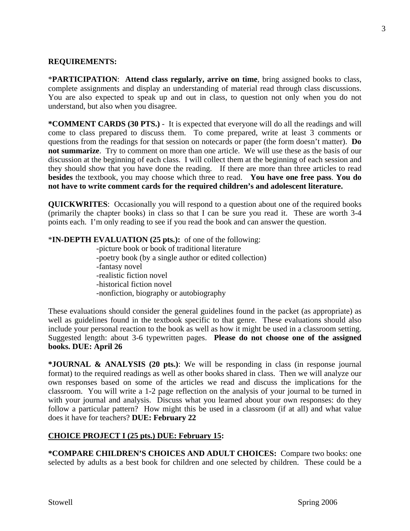#### **REQUIREMENTS:**

\***PARTICIPATION**: **Attend class regularly, arrive on time**, bring assigned books to class, complete assignments and display an understanding of material read through class discussions. You are also expected to speak up and out in class, to question not only when you do not understand, but also when you disagree.

**\*COMMENT CARDS (30 PTS.)** - It is expected that everyone will do all the readings and will come to class prepared to discuss them. To come prepared, write at least 3 comments or questions from the readings for that session on notecards or paper (the form doesn't matter). **Do not summarize**. Try to comment on more than one article. We will use these as the basis of our discussion at the beginning of each class. I will collect them at the beginning of each session and they should show that you have done the reading. If there are more than three articles to read **besides** the textbook, you may choose which three to read. **You have one free pass**. **You do not have to write comment cards for the required children's and adolescent literature.** 

**QUICKWRITES**: Occasionally you will respond to a question about one of the required books (primarily the chapter books) in class so that I can be sure you read it. These are worth 3-4 points each. I'm only reading to see if you read the book and can answer the question.

\***IN-DEPTH EVALUATION (25 pts.):** of one of the following:

 -picture book or book of traditional literature -poetry book (by a single author or edited collection) -fantasy novel -realistic fiction novel -historical fiction novel -nonfiction, biography or autobiography

These evaluations should consider the general guidelines found in the packet (as appropriate) as well as guidelines found in the textbook specific to that genre. These evaluations should also include your personal reaction to the book as well as how it might be used in a classroom setting. Suggested length: about 3-6 typewritten pages. **Please do not choose one of the assigned books. DUE: April 26** 

**\*JOURNAL & ANALYSIS (20 pts.)**: We will be responding in class (in response journal format) to the required readings as well as other books shared in class. Then we will analyze our own responses based on some of the articles we read and discuss the implications for the classroom. You will write a 1-2 page reflection on the analysis of your journal to be turned in with your journal and analysis. Discuss what you learned about your own responses: do they follow a particular pattern? How might this be used in a classroom (if at all) and what value does it have for teachers? **DUE: February 22** 

### **CHOICE PROJECT I (25 pts.) DUE: February 15:**

**\*COMPARE CHILDREN'S CHOICES AND ADULT CHOICES:** Compare two books: one selected by adults as a best book for children and one selected by children. These could be a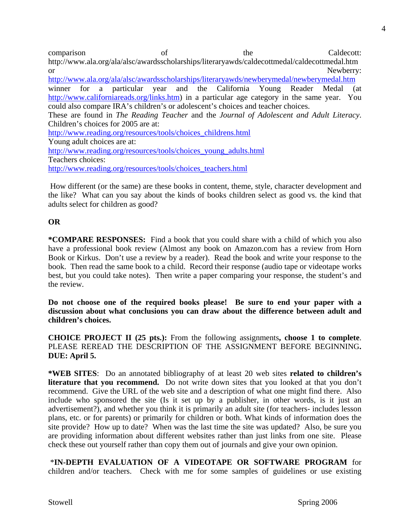comparison of the Caldecott: http://www.ala.org/ala/alsc/awardsscholarships/literaryawds/caldecottmedal/caldecottmedal.htm or Newberry: http://www.ala.org/ala/alsc/awardsscholarships/literaryawds/newberymedal/newberymedal.htm winner for a particular year and the California Young Reader Medal (at http://www.californiareads.org/links.htm) in a particular age category in the same year. You could also compare IRA's children's or adolescent's choices and teacher choices. These are found in *The Reading Teacher* and the *Journal of Adolescent and Adult Literacy*. Children's choices for 2005 are at: http://www.reading.org/resources/tools/choices\_childrens.html Young adult choices are at: http://www.reading.org/resources/tools/choices\_young\_adults.html Teachers choices:

http://www.reading.org/resources/tools/choices\_teachers.html

 How different (or the same) are these books in content, theme, style, character development and the like? What can you say about the kinds of books children select as good vs. the kind that adults select for children as good?

### **OR**

**\*COMPARE RESPONSES:** Find a book that you could share with a child of which you also have a professional book review (Almost any book on Amazon.com has a review from Horn Book or Kirkus. Don't use a review by a reader).Read the book and write your response to the book. Then read the same book to a child. Record their response (audio tape or videotape works best, but you could take notes). Then write a paper comparing your response, the student's and the review.

**Do not choose one of the required books please! Be sure to end your paper with a discussion about what conclusions you can draw about the difference between adult and children's choices.** 

**CHOICE PROJECT II (25 pts.):** From the following assignments**, choose 1 to complete**. PLEASE REREAD THE DESCRIPTION OF THE ASSIGNMENT BEFORE BEGINNING**. DUE: April 5.** 

**\*WEB SITES**: Do an annotated bibliography of at least 20 web sites **related to children's literature that you recommend.** Do not write down sites that you looked at that you don't recommend. Give the URL of the web site and a description of what one might find there. Also include who sponsored the site (Is it set up by a publisher, in other words, is it just an advertisement?), and whether you think it is primarily an adult site (for teachers- includes lesson plans, etc. or for parents) or primarily for children or both. What kinds of information does the site provide? How up to date? When was the last time the site was updated? Also, be sure you are providing information about different websites rather than just links from one site. Please check these out yourself rather than copy them out of journals and give your own opinion.

 \***IN-DEPTH EVALUATION OF A VIDEOTAPE OR SOFTWARE PROGRAM** for children and/or teachers. Check with me for some samples of guidelines or use existing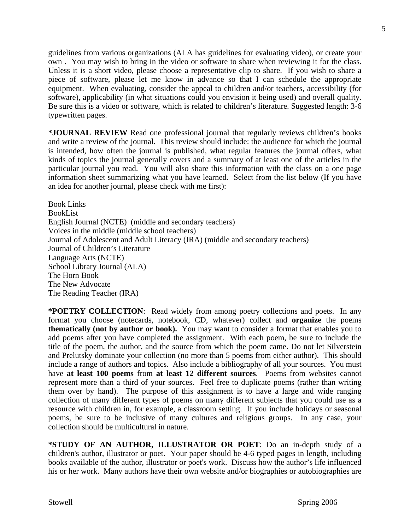guidelines from various organizations (ALA has guidelines for evaluating video), or create your own . You may wish to bring in the video or software to share when reviewing it for the class. Unless it is a short video, please choose a representative clip to share. If you wish to share a piece of software, please let me know in advance so that I can schedule the appropriate equipment. When evaluating, consider the appeal to children and/or teachers, accessibility (for software), applicability (in what situations could you envision it being used) and overall quality. Be sure this is a video or software, which is related to children's literature. Suggested length: 3-6 typewritten pages.

**\*JOURNAL REVIEW** Read one professional journal that regularly reviews children's books and write a review of the journal. This review should include: the audience for which the journal is intended, how often the journal is published, what regular features the journal offers, what kinds of topics the journal generally covers and a summary of at least one of the articles in the particular journal you read. You will also share this information with the class on a one page information sheet summarizing what you have learned. Select from the list below (If you have an idea for another journal, please check with me first):

Book Links BookList English Journal (NCTE) (middle and secondary teachers) Voices in the middle (middle school teachers) Journal of Adolescent and Adult Literacy (IRA) (middle and secondary teachers) Journal of Children's Literature Language Arts (NCTE) School Library Journal (ALA) The Horn Book The New Advocate The Reading Teacher (IRA)

**\*POETRY COLLECTION**: Read widely from among poetry collections and poets. In any format you choose (notecards, notebook, CD, whatever) collect and **organize** the poems **thematically (not by author or book).** You may want to consider a format that enables you to add poems after you have completed the assignment. With each poem, be sure to include the title of the poem, the author, and the source from which the poem came. Do not let Silverstein and Prelutsky dominate your collection (no more than 5 poems from either author). This should include a range of authors and topics. Also include a bibliography of all your sources. You must have **at least 100 poems** from **at least 12 different sources**. Poems from websites cannot represent more than a third of your sources. Feel free to duplicate poems (rather than writing them over by hand). The purpose of this assignment is to have a large and wide ranging collection of many different types of poems on many different subjects that you could use as a resource with children in, for example, a classroom setting. If you include holidays or seasonal poems, be sure to be inclusive of many cultures and religious groups. In any case, your collection should be multicultural in nature.

**\*STUDY OF AN AUTHOR, ILLUSTRATOR OR POET**: Do an in-depth study of a children's author, illustrator or poet. Your paper should be 4-6 typed pages in length, including books available of the author, illustrator or poet's work. Discuss how the author's life influenced his or her work. Many authors have their own website and/or biographies or autobiographies are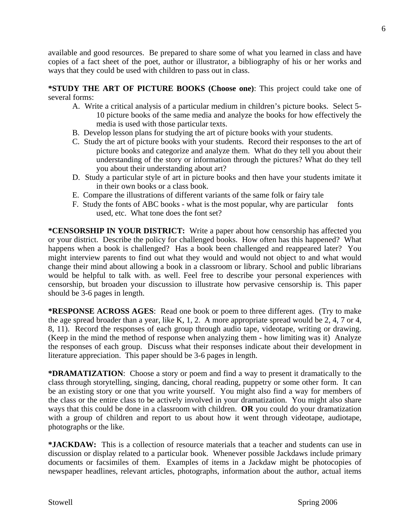available and good resources. Be prepared to share some of what you learned in class and have copies of a fact sheet of the poet, author or illustrator, a bibliography of his or her works and ways that they could be used with children to pass out in class.

**\*STUDY THE ART OF PICTURE BOOKS (Choose one)**: This project could take one of several forms:

- A. Write a critical analysis of a particular medium in children's picture books. Select 5- 10 picture books of the same media and analyze the books for how effectively the media is used with those particular texts.
- B. Develop lesson plans for studying the art of picture books with your students.
- C. Study the art of picture books with your students. Record their responses to the art of picture books and categorize and analyze them. What do they tell you about their understanding of the story or information through the pictures? What do they tell you about their understanding about art?
- D. Study a particular style of art in picture books and then have your students imitate it in their own books or a class book.
- E. Compare the illustrations of different variants of the same folk or fairy tale
- F. Study the fonts of ABC books what is the most popular, why are particular fonts used, etc. What tone does the font set?

**\*CENSORSHIP IN YOUR DISTRICT:** Write a paper about how censorship has affected you or your district. Describe the policy for challenged books. How often has this happened? What happens when a book is challenged? Has a book been challenged and reappeared later? You might interview parents to find out what they would and would not object to and what would change their mind about allowing a book in a classroom or library. School and public librarians would be helpful to talk with. as well. Feel free to describe your personal experiences with censorship, but broaden your discussion to illustrate how pervasive censorship is. This paper should be 3-6 pages in length.

**\*RESPONSE ACROSS AGES**: Read one book or poem to three different ages. (Try to make the age spread broader than a year, like K, 1, 2. A more appropriate spread would be 2, 4, 7 or 4, 8, 11). Record the responses of each group through audio tape, videotape, writing or drawing. (Keep in the mind the method of response when analyzing them - how limiting was it) Analyze the responses of each group. Discuss what their responses indicate about their development in literature appreciation. This paper should be 3-6 pages in length.

**\*DRAMATIZATION**: Choose a story or poem and find a way to present it dramatically to the class through storytelling, singing, dancing, choral reading, puppetry or some other form. It can be an existing story or one that you write yourself. You might also find a way for members of the class or the entire class to be actively involved in your dramatization. You might also share ways that this could be done in a classroom with children. **OR** you could do your dramatization with a group of children and report to us about how it went through videotape, audiotape, photographs or the like.

**\*JACKDAW:** This is a collection of resource materials that a teacher and students can use in discussion or display related to a particular book. Whenever possible Jackdaws include primary documents or facsimiles of them. Examples of items in a Jackdaw might be photocopies of newspaper headlines, relevant articles, photographs, information about the author, actual items

6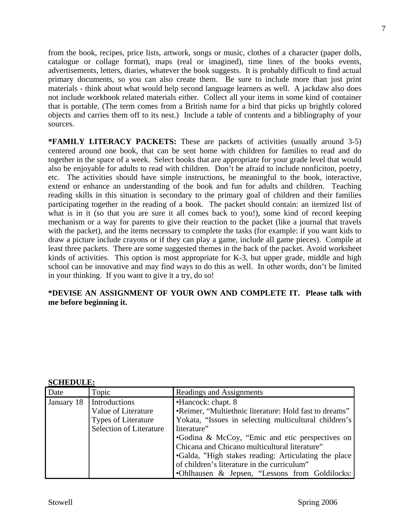from the book, recipes, price lists, artwork, songs or music, clothes of a character (paper dolls, catalogue or collage format), maps (real or imagined), time lines of the books events, advertisements, letters, diaries, whatever the book suggests. It is probably difficult to find actual primary documents, so you can also create them. Be sure to include more than just print materials - think about what would help second language learners as well. A jackdaw also does not include workbook related materials either. Collect all your items in some kind of container that is portable. (The term comes from a British name for a bird that picks up brightly colored objects and carries them off to its nest.) Include a table of contents and a bibliography of your sources.

**\*FAMILY LITERACY PACKETS:** These are packets of activities (usually around 3-5) centered around one book, that can be sent home with children for families to read and do together in the space of a week. Select books that are appropriate for your grade level that would also be enjoyable for adults to read with children. Don't be afraid to include nonficiton, poetry, etc. The activities should have simple instructions, be meaningful to the book, interactive, extend or enhance an understanding of the book and fun for adults and children. Teaching reading skills in this situation is secondary to the primary goal of children and their families participating together in the reading of a book. The packet should contain: an itemized list of what is in it (so that you are sure it all comes back to you!), some kind of record keeping mechanism or a way for parents to give their reaction to the packet (like a journal that travels with the packet), and the items necessary to complete the tasks (for example: if you want kids to draw a picture include crayons or if they can play a game, include all game pieces). Compile at least three packets. There are some suggested themes in the back of the packet. Avoid worksheet kinds of activities. This option is most appropriate for K-3, but upper grade, middle and high school can be innovative and may find ways to do this as well. In other words, don't be limited in your thinking. If you want to give it a try, do so!

### **\*DEVISE AN ASSIGNMENT OF YOUR OWN AND COMPLETE IT. Please talk with me before beginning it.**

#### **SCHEDULE:**

| Date       | Topic                          | Readings and Assignments                               |  |
|------------|--------------------------------|--------------------------------------------------------|--|
| January 18 | Introductions                  | •Hancock: chapt. 8                                     |  |
|            | Value of Literature            | •Reimer, "Multiethnic literature: Hold fast to dreams" |  |
|            | Types of Literature            | Yokata, "Issues in selecting multicultural children's  |  |
|            | <b>Selection of Literature</b> | literature"                                            |  |
|            |                                | •Godina & McCoy, "Emic and etic perspectives on        |  |
|            |                                | Chicana and Chicano multicultural literature"          |  |
|            |                                | •Galda, "High stakes reading: Articulating the place   |  |
|            |                                | of children's literature in the curriculum"            |  |
|            |                                | •Ohlhausen & Jepsen, "Lessons from Goldilocks:         |  |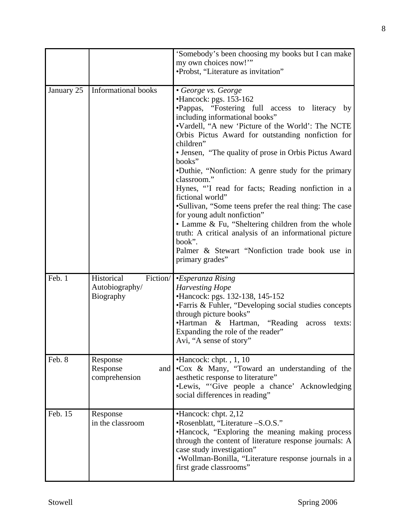|            |                                                              | 'Somebody's been choosing my books but I can make<br>my own choices now!"<br>•Probst, "Literature as invitation"                                                                                                                                                                                                                                                                                                                                                                                                                                                                                                                                                                                                                                                   |
|------------|--------------------------------------------------------------|--------------------------------------------------------------------------------------------------------------------------------------------------------------------------------------------------------------------------------------------------------------------------------------------------------------------------------------------------------------------------------------------------------------------------------------------------------------------------------------------------------------------------------------------------------------------------------------------------------------------------------------------------------------------------------------------------------------------------------------------------------------------|
| January 25 | <b>Informational books</b>                                   | • George vs. George<br>•Hancock: pgs. 153-162<br>·Pappas, "Fostering full access to literacy by<br>including informational books"<br>.Vardell, "A new 'Picture of the World': The NCTE<br>Orbis Pictus Award for outstanding nonfiction for<br>children"<br>• Jensen, "The quality of prose in Orbis Pictus Award"<br>books"<br>•Duthie, "Nonfiction: A genre study for the primary<br>classroom."<br>Hynes, "I read for facts; Reading nonfiction in a<br>fictional world"<br>•Sullivan, "Some teens prefer the real thing: The case<br>for young adult nonfiction"<br>• Lamme & Fu, "Sheltering children from the whole<br>truth: A critical analysis of an informational picture<br>book".<br>Palmer & Stewart "Nonfiction trade book use in<br>primary grades" |
| Feb. 1     | Fiction/<br>Historical<br>Autobiography/<br><b>Biography</b> | •Esperanza Rising<br><b>Harvesting Hope</b><br>•Hancock: pgs. 132-138, 145-152<br>• Farris & Fuhler, "Developing social studies concepts<br>through picture books"<br>•Hartman & Hartman, "Reading<br>across<br>texts:<br>Expanding the role of the reader"<br>Avi, "A sense of story"                                                                                                                                                                                                                                                                                                                                                                                                                                                                             |
| Feb. 8     | Response<br>Response<br>and  <br>comprehension               | $\bullet$ Hancock: chpt., 1, 10<br>•Cox & Many, "Toward an understanding of the<br>aesthetic response to literature"<br>•Lewis, "Give people a chance' Acknowledging<br>social differences in reading"                                                                                                                                                                                                                                                                                                                                                                                                                                                                                                                                                             |
| Feb. 15    | Response<br>in the classroom                                 | $\bullet$ Hancock: chpt. 2,12<br>•Rosenblatt, "Literature -S.O.S."<br>•Hancock, "Exploring the meaning making process<br>through the content of literature response journals: A<br>case study investigation"<br>•Wollman-Bonilla, "Literature response journals in a<br>first grade classrooms"                                                                                                                                                                                                                                                                                                                                                                                                                                                                    |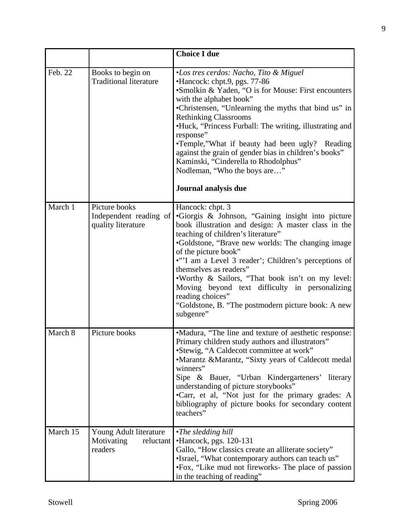|          |                                                               | <b>Choice I due</b>                                                                                                                                                                                                                                                                                                                                                                                                                                                                                                                 |
|----------|---------------------------------------------------------------|-------------------------------------------------------------------------------------------------------------------------------------------------------------------------------------------------------------------------------------------------------------------------------------------------------------------------------------------------------------------------------------------------------------------------------------------------------------------------------------------------------------------------------------|
| Feb. 22  | Books to begin on<br><b>Traditional literature</b>            | •Los tres cerdos: Nacho, Tito & Miguel<br>•Hancock: chpt.9, pgs. 77-86<br>•Smolkin & Yaden, "O is for Mouse: First encounters<br>with the alphabet book"<br>•Christensen, "Unlearning the myths that bind us" in<br><b>Rethinking Classrooms</b><br>•Huck, "Princess Furball: The writing, illustrating and<br>response"<br>•Temple,"What if beauty had been ugly? Reading<br>against the grain of gender bias in children's books"<br>Kaminski, "Cinderella to Rhodolphus"<br>Nodleman, "Who the boys are"<br>Journal analysis due |
|          |                                                               |                                                                                                                                                                                                                                                                                                                                                                                                                                                                                                                                     |
| March 1  | Picture books<br>Independent reading of<br>quality literature | Hancock: chpt. 3<br>•Giorgis & Johnson, "Gaining insight into picture<br>book illustration and design: A master class in the<br>teaching of children's literature"<br>•Goldstone, "Brave new worlds: The changing image<br>of the picture book"<br>•"'I am a Level 3 reader'; Children's perceptions of<br>themselves as readers"<br>. Worthy & Sailors, "That book isn't on my level:<br>Moving beyond text difficulty in personalizing<br>reading choices"<br>"Goldstone, B. "The postmodern picture book: A new<br>subgenre"     |
| March 8  | Picture books                                                 | •Madura, "The line and texture of aesthetic response:<br>Primary children study authors and illustrators"<br>•Stewig, "A Caldecott committee at work"<br>•Marantz &Marantz, "Sixty years of Caldecott medal<br>winners"<br>Sipe & Bauer, "Urban Kindergarteners' literary<br>understanding of picture storybooks"<br>•Carr, et al, "Not just for the primary grades: A<br>bibliography of picture books for secondary content<br>teachers"                                                                                          |
| March 15 | Young Adult literature<br>Motivating<br>reluctant<br>readers  | $\cdot$ The sledding hill<br>•Hancock, pgs. 120-131<br>Gallo, "How classics create an alliterate society"<br>•Israel, "What contemporary authors can teach us"<br>•Fox, "Like mud not fireworks- The place of passion<br>in the teaching of reading"                                                                                                                                                                                                                                                                                |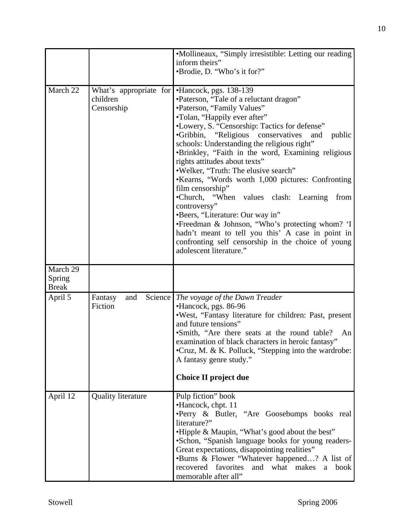|                                    |                                                  | •Mollineaux, "Simply irresistible: Letting our reading<br>inform theirs"<br>•Brodie, D. "Who's it for?"                                                                                                                                                                                                                                                                                                                                                                                                                                                                                                                                                                                                                                                                                                   |
|------------------------------------|--------------------------------------------------|-----------------------------------------------------------------------------------------------------------------------------------------------------------------------------------------------------------------------------------------------------------------------------------------------------------------------------------------------------------------------------------------------------------------------------------------------------------------------------------------------------------------------------------------------------------------------------------------------------------------------------------------------------------------------------------------------------------------------------------------------------------------------------------------------------------|
| March 22                           | What's appropriate for<br>children<br>Censorship | •Hancock, pgs. 138-139<br>•Paterson, "Tale of a reluctant dragon"<br>•Paterson, "Family Values"<br>•Tolan, "Happily ever after"<br>•Lowery, S. "Censorship: Tactics for defense"<br>"Religious conservatives"<br>$\bullet$ Gribbin,<br>public<br>and<br>schools: Understanding the religious right"<br>•Brinkley, "Faith in the word, Examining religious<br>rights attitudes about texts"<br>.Welker, "Truth: The elusive search"<br>•Kearns, "Words worth 1,000 pictures: Confronting<br>film censorship"<br>•Church, "When values clash: Learning<br>from<br>controversy"<br>•Beers, "Literature: Our way in"<br>•Freedman & Johnson, "Who's protecting whom? 'I<br>hadn't meant to tell you this' A case in point in<br>confronting self censorship in the choice of young<br>adolescent literature." |
| March 29<br>Spring<br><b>Break</b> |                                                  |                                                                                                                                                                                                                                                                                                                                                                                                                                                                                                                                                                                                                                                                                                                                                                                                           |
| April 5                            | Science  <br>Fantasy<br>and<br>Fiction           | The voyage of the Dawn Treader<br>•Hancock, pgs. 86-96<br>.West, "Fantasy literature for children: Past, present<br>and future tensions"<br>•Smith, "Are there seats at the round table?<br>An<br>examination of black characters in heroic fantasy"<br>•Cruz, M. & K. Polluck, "Stepping into the wardrobe:<br>A fantasy genre study."<br>Choice II project due                                                                                                                                                                                                                                                                                                                                                                                                                                          |
| April 12                           | <b>Quality literature</b>                        | Pulp fiction" book<br>•Hancock, chpt. 11<br>•Perry & Butler, "Are Goosebumps books real<br>literature?"<br>•Hipple & Maupin, "What's good about the best"<br>•Schon, "Spanish language books for young readers-<br>Great expectations, disappointing realities"<br>•Burns & Flower "Whatever happened? A list of<br>recovered favorites<br>and what makes<br>book<br>a<br>memorable after all"                                                                                                                                                                                                                                                                                                                                                                                                            |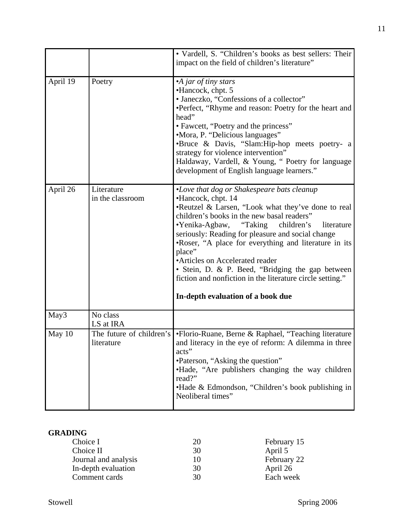|          |                                        | • Vardell, S. "Children's books as best sellers: Their<br>impact on the field of children's literature"                                                                                                                                                                                                                                                                                                                                                                                                                                                  |
|----------|----------------------------------------|----------------------------------------------------------------------------------------------------------------------------------------------------------------------------------------------------------------------------------------------------------------------------------------------------------------------------------------------------------------------------------------------------------------------------------------------------------------------------------------------------------------------------------------------------------|
| April 19 | Poetry                                 | •A jar of tiny stars<br>•Hancock, chpt. 5<br>• Janeczko, "Confessions of a collector"<br>•Perfect, "Rhyme and reason: Poetry for the heart and<br>head"<br>• Fawcett, "Poetry and the princess"<br>•Mora, P. "Delicious languages"<br>•Bruce & Davis, "Slam:Hip-hop meets poetry- a<br>strategy for violence intervention"<br>Haldaway, Vardell, & Young, "Poetry for language<br>development of English language learners."                                                                                                                             |
| April 26 | Literature<br>in the classroom         | •Love that dog or Shakespeare bats cleanup<br>•Hancock, chpt. 14<br>•Reutzel & Larsen, "Look what they've done to real<br>children's books in the new basal readers"<br>$\bullet$ Yenika-Agbaw,<br>"Taking"<br>children's<br>literature<br>seriously: Reading for pleasure and social change<br>.Roser, "A place for everything and literature in its<br>place"<br>•Articles on Accelerated reader<br>• Stein, D. & P. Beed, "Bridging the gap between<br>fiction and nonfiction in the literature circle setting."<br>In-depth evaluation of a book due |
| May3     | No class<br>LS at IRA                  |                                                                                                                                                                                                                                                                                                                                                                                                                                                                                                                                                          |
| May 10   | The future of children's<br>literature | •Florio-Ruane, Berne & Raphael, "Teaching literature<br>and literacy in the eye of reform: A dilemma in three<br>acts"<br>•Paterson, "Asking the question"<br>• Hade, "Are publishers changing the way children<br>read?"<br>•Hade & Edmondson, "Children's book publishing in<br>Neoliberal times"                                                                                                                                                                                                                                                      |

# **GRADING**

| Choice I             | 20 | February 15 |
|----------------------|----|-------------|
| Choice II            | 30 | April 5     |
| Journal and analysis | 10 | February 22 |
| In-depth evaluation  | 30 | April 26    |
| Comment cards        | 30 | Each week   |
|                      |    |             |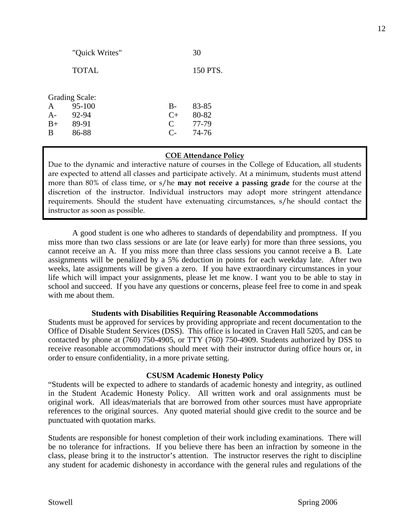|              | <b>Grading Scale:</b> |               |       |
|--------------|-----------------------|---------------|-------|
| $\mathsf{A}$ | 95-100                | $B -$         | 83-85 |
| $A-$         | 92-94                 | $C_{+}$       | 80-82 |
| $B+$         | 89-91                 | $\mathcal{C}$ | 77-79 |
| B            | 86-88                 | $\mathcal{C}$ | 74-76 |
|              |                       |               |       |

## **COE Attendance Policy**

Due to the dynamic and interactive nature of courses in the College of Education, all students are expected to attend all classes and participate actively. At a minimum, students must attend more than 80% of class time, or s/he **may not receive a passing grade** for the course at the discretion of the instructor. Individual instructors may adopt more stringent attendance requirements. Should the student have extenuating circumstances, s/he should contact the instructor as soon as possible.

 A good student is one who adheres to standards of dependability and promptness. If you miss more than two class sessions or are late (or leave early) for more than three sessions, you cannot receive an A. If you miss more than three class sessions you cannot receive a B. Late assignments will be penalized by a 5% deduction in points for each weekday late. After two weeks, late assignments will be given a zero. If you have extraordinary circumstances in your life which will impact your assignments, please let me know. I want you to be able to stay in school and succeed. If you have any questions or concerns, please feel free to come in and speak with me about them.

### **Students with Disabilities Requiring Reasonable Accommodations**

Students must be approved for services by providing appropriate and recent documentation to the Office of Disable Student Services (DSS). This office is located in Craven Hall 5205, and can be contacted by phone at (760) 750-4905, or TTY (760) 750-4909. Students authorized by DSS to receive reasonable accommodations should meet with their instructor during office hours or, in order to ensure confidentiality, in a more private setting.

### **CSUSM Academic Honesty Policy**

"Students will be expected to adhere to standards of academic honesty and integrity, as outlined in the Student Academic Honesty Policy. All written work and oral assignments must be original work. All ideas/materials that are borrowed from other sources must have appropriate references to the original sources. Any quoted material should give credit to the source and be punctuated with quotation marks.

Students are responsible for honest completion of their work including examinations. There will be no tolerance for infractions. If you believe there has been an infraction by someone in the class, please bring it to the instructor's attention. The instructor reserves the right to discipline any student for academic dishonesty in accordance with the general rules and regulations of the